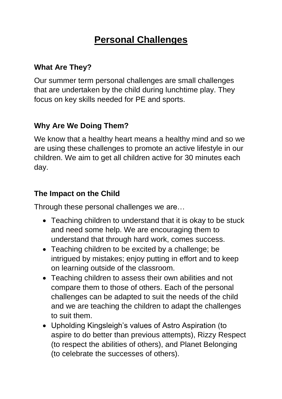## **Personal Challenges**

## **What Are They?**

Our summer term personal challenges are small challenges that are undertaken by the child during lunchtime play. They focus on key skills needed for PE and sports.

## **Why Are We Doing Them?**

We know that a healthy heart means a healthy mind and so we are using these challenges to promote an active lifestyle in our children. We aim to get all children active for 30 minutes each day.

## **The Impact on the Child**

Through these personal challenges we are…

- Teaching children to understand that it is okay to be stuck and need some help. We are encouraging them to understand that through hard work, comes success.
- Teaching children to be excited by a challenge; be intrigued by mistakes; enjoy putting in effort and to keep on learning outside of the classroom.
- Teaching children to assess their own abilities and not compare them to those of others. Each of the personal challenges can be adapted to suit the needs of the child and we are teaching the children to adapt the challenges to suit them.
- Upholding Kingsleigh's values of Astro Aspiration (to aspire to do better than previous attempts), Rizzy Respect (to respect the abilities of others), and Planet Belonging (to celebrate the successes of others).